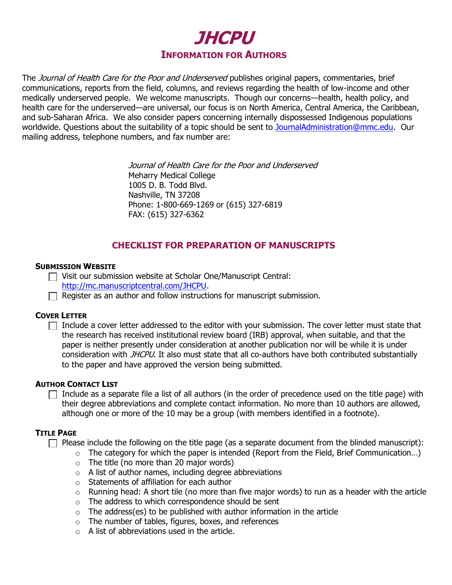

The Journal of Health Care for the Poor and Underserved publishes original papers, commentaries, brief communications, reports from the field, columns, and reviews regarding the health of low-income and other medically underserved people. We welcome manuscripts. Though our concerns—health, health policy, and health care for the underserved—are universal, our focus is on North America, Central America, the Caribbean, and sub-Saharan Africa. We also consider papers concerning internally dispossessed Indigenous populations worldwide. Questions about the suitability of a topic should be sent to [JournalAdministration@mmc.edu.](mailto:JournalAdministration@mmc.edu) Our mailing address, telephone numbers, and fax number are:

> Journal of Health Care for the Poor and Underserved Meharry Medical College 1005 D. B. Todd Blvd. Nashville, TN 37208 Phone: 1-800-669-1269 or (615) 327-6819 FAX: (615) 327-6362

# **CHECKLIST FOR PREPARATION OF MANUSCRIPTS**

#### **SUBMISSION WEBSITE**

- Visit our submission website at Scholar One/Manuscript Central: [http://mc.manuscriptcentral.com/JHCPU.](http://mc.manuscriptcentral.com/JHCPU)
- $\Box$  Register as an author and follow instructions for manuscript submission.

#### **COVER LETTER**

 $\Box$  Include a cover letter addressed to the editor with your submission. The cover letter must state that the research has received institutional review board (IRB) approval, when suitable, and that the paper is neither presently under consideration at another publication nor will be while it is under consideration with JHCPU. It also must state that all co-authors have both contributed substantially to the paper and have approved the version being submitted.

#### **AUTHOR CONTACT LIST**

 $\Box$  Include as a separate file a list of all authors (in the order of precedence used on the title page) with their degree abbreviations and complete contact information. No more than 10 authors are allowed, although one or more of the 10 may be a group (with members identified in a footnote).

#### **TITLE PAGE**

 $\Box$  Please include the following on the title page (as a separate document from the blinded manuscript):

- $\circ$  The category for which the paper is intended (Report from the Field, Brief Communication...)
- $\circ$  The title (no more than 20 major words)
- $\circ$  A list of author names, including degree abbreviations
- o Statements of affiliation for each author
- $\circ$  Running head: A short tile (no more than five major words) to run as a header with the article
- o The address to which correspondence should be sent
- $\circ$  The address(es) to be published with author information in the article
- $\circ$  The number of tables, figures, boxes, and references
- $\circ$  A list of abbreviations used in the article.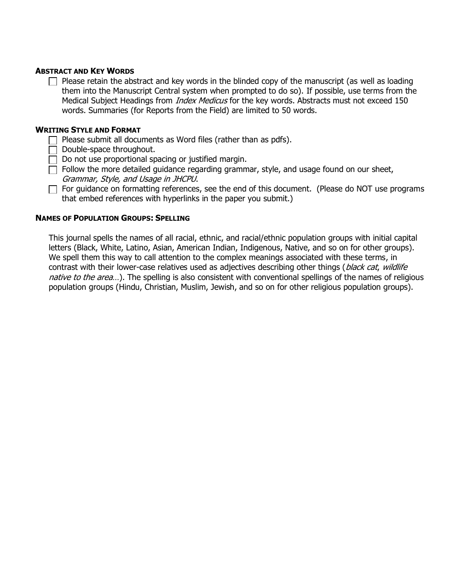#### **ABSTRACT AND KEY WORDS**

 $\Box$  Please retain the abstract and key words in the blinded copy of the manuscript (as well as loading them into the Manuscript Central system when prompted to do so). If possible, use terms from the Medical Subject Headings from *Index Medicus* for the key words. Abstracts must not exceed 150 words. Summaries (for Reports from the Field) are limited to 50 words.

# **WRITING STYLE AND FORMAT**

- $\Box$  Please submit all documents as Word files (rather than as pdfs).
- $\Box$  Double-space throughout.
- $\Box$  Do not use proportional spacing or justified margin.
- $\Box$  Follow the more detailed guidance regarding grammar, style, and usage found on our sheet, Grammar, Style, and Usage in JHCPU.
- $\Box$  For guidance on formatting references, see the end of this document. (Please do NOT use programs that embed references with hyperlinks in the paper you submit.)

#### **NAMES OF POPULATION GROUPS: SPELLING**

This journal spells the names of all racial, ethnic, and racial/ethnic population groups with initial capital letters (Black, White, Latino, Asian, American Indian, Indigenous, Native, and so on for other groups). We spell them this way to call attention to the complex meanings associated with these terms, in contrast with their lower-case relatives used as adjectives describing other things (*black cat, wildlife* native to the area...). The spelling is also consistent with conventional spellings of the names of religious population groups (Hindu, Christian, Muslim, Jewish, and so on for other religious population groups).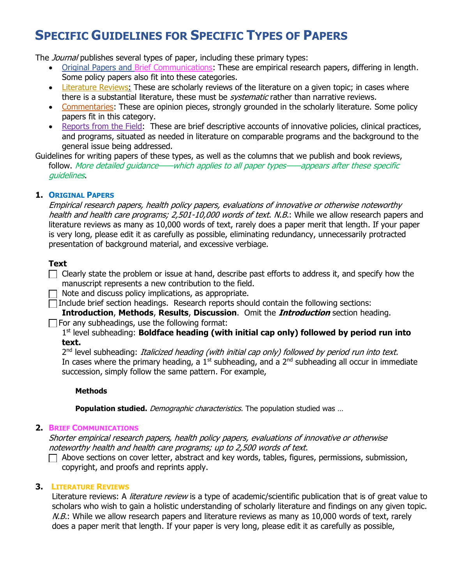# **SPECIFIC GUIDELINES FOR SPECIFIC TYPES OF PAPERS**

The *Journal* publishes several types of paper, including these primary types:

- Original Papers and Brief Communications: These are empirical research papers, differing in length. Some policy papers also fit into these categories.
- Literature Reviews: These are scholarly reviews of the literature on a given topic; in cases where there is a substantial literature, these must be *systematic* rather than narrative reviews.
- Commentaries: These are opinion pieces, strongly grounded in the scholarly literature. Some policy papers fit in this category.
- Reports from the Field: These are brief descriptive accounts of innovative policies, clinical practices, and programs, situated as needed in literature on comparable programs and the background to the general issue being addressed.

Guidelines for writing papers of these types, as well as the columns that we publish and book reviews, follow. More detailed guidance——which applies to all paper types——appears after these specific guidelines.

# **1. ORIGINAL PAPERS**

Empirical research papers, health policy papers, evaluations of innovative or otherwise noteworthy health and health care programs; 2,501-10,000 words of text. N.B.: While we allow research papers and literature reviews as many as 10,000 words of text, rarely does a paper merit that length. If your paper is very long, please edit it as carefully as possible, eliminating redundancy, unnecessarily protracted presentation of background material, and excessive verbiage.

# **Text**

 $\Box$  Clearly state the problem or issue at hand, describe past efforts to address it, and specify how the manuscript represents a new contribution to the field.

Note and discuss policy implications, as appropriate.

 $\Box$  Include brief section headings. Research reports should contain the following sections:

**Introduction**, **Methods**, **Results**, **Discussion**. Omit the **Introduction** section heading.  $\Box$  For any subheadings, use the following format:

1<sup>st</sup> level subheading: **Boldface heading (with initial cap only) followed by period run into text.**

2<sup>nd</sup> level subheading: *Italicized heading (with initial cap only) followed by period run into text.* In cases where the primary heading, a  $1<sup>st</sup>$  subheading, and a  $2<sup>nd</sup>$  subheading all occur in immediate succession, simply follow the same pattern. For example,

#### **Methods**

**Population studied.** *Demographic characteristics*. The population studied was ...

# **2. BRIEF COMMUNICATIONS**

Shorter empirical research papers, health policy papers, evaluations of innovative or otherwise noteworthy health and health care programs; up to 2,500 words of text.

 $\Box$  Above sections on cover letter, abstract and key words, tables, figures, permissions, submission, copyright, and proofs and reprints apply.

# **3. LITERATURE REVIEWS**

Literature reviews: A *literature review* is a type of academic/scientific publication that is of great value to scholars who wish to gain a holistic understanding of scholarly literature and findings on any given topic.  $N.B.$ : While we allow research papers and literature reviews as many as 10,000 words of text, rarely does a paper merit that length. If your paper is very long, please edit it as carefully as possible,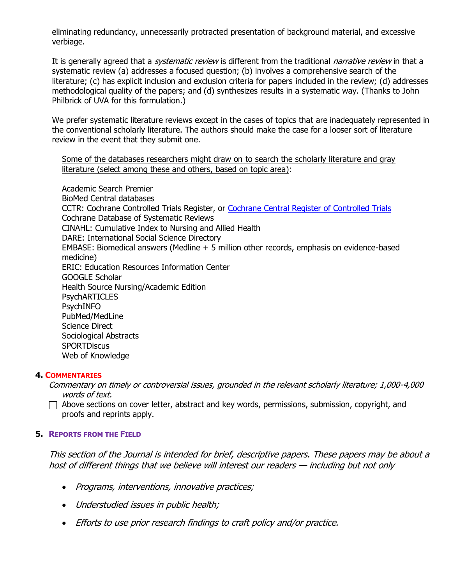eliminating redundancy, unnecessarily protracted presentation of background material, and excessive verbiage.

It is generally agreed that a *systematic review* is different from the traditional *narrative review* in that a systematic review (a) addresses a focused question; (b) involves a comprehensive search of the literature; (c) has explicit inclusion and exclusion criteria for papers included in the review; (d) addresses methodological quality of the papers; and (d) synthesizes results in a systematic way. (Thanks to John Philbrick of UVA for this formulation.)

We prefer systematic literature reviews except in the cases of topics that are inadequately represented in the conventional scholarly literature. The authors should make the case for a looser sort of literature review in the event that they submit one.

Some of the databases researchers might draw on to search the scholarly literature and gray literature (select among these and others, based on topic area):

Academic Search Premier BioMed Central databases CCTR: Cochrane Controlled Trials Register, or [Cochrane Central Register of Controlled Trials](http://www.thecochranelibrary.com/view/0/AboutTheCochraneLibrary.html#CENTRAL) [Cochrane Database of Systematic Reviews](http://www.thecochranelibrary.com/view/0/AboutTheCochraneLibrary.html#CDSR) CINAHL: Cumulative Index to Nursing and Allied Health DARE: International Social Science Directory EMBASE: Biomedical answers (Medline + 5 million other records, emphasis on evidence-based medicine) ERIC: Education Resources Information Center GOOGLE Scholar Health Source Nursing/Academic Edition **PsychARTICLES** PsychINFO PubMed/MedLine Science Direct Sociological Abstracts **SPORTDiscus** Web of Knowledge

#### **4. COMMENTARIES**

Commentary on timely or controversial issues, grounded in the relevant scholarly literature; 1,000-4,000 words of text.

 $\Box$  Above sections on cover letter, abstract and key words, permissions, submission, copyright, and proofs and reprints apply.

#### **5. REPORTS FROM THE FIELD**

This section of the Journal is intended for brief, descriptive papers. These papers may be about a host of different things that we believe will interest our readers — including but not only

- Programs, interventions, innovative practices;
- Understudied issues in public health;
- Efforts to use prior research findings to craft policy and/or practice.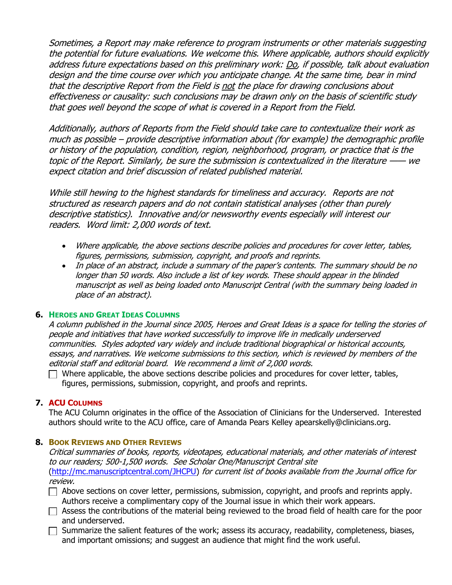Sometimes, a Report may make reference to program instruments or other materials suggesting the potential for future evaluations. We welcome this. Where applicable, authors should explicitly address future expectations based on this preliminary work: Do, if possible, talk about evaluation design and the time course over which you anticipate change. At the same time, bear in mind that the descriptive Report from the Field is not the place for drawing conclusions about effectiveness or causality: such conclusions may be drawn only on the basis of scientific study that goes well beyond the scope of what is covered in a Report from the Field.

Additionally, authors of Reports from the Field should take care to contextualize their work as much as possible – provide descriptive information about (for example) the demographic profile or history of the population, condition, region, neighborhood, program, or practice that is the topic of the Report. Similarly, be sure the submission is contextualized in the literature —— we expect citation and brief discussion of related published material.

While still hewing to the highest standards for timeliness and accuracy. Reports are not structured as research papers and do not contain statistical analyses (other than purely descriptive statistics). Innovative and/or newsworthy events especially will interest our readers. Word limit: 2,000 words of text.

- Where applicable, the above sections describe policies and procedures for cover letter, tables, figures, permissions, submission, copyright, and proofs and reprints.
- In place of an abstract, include a summary of the paper's contents. The summary should be no longer than 50 words. Also include a list of key words. These should appear in the blinded manuscript as well as being loaded onto Manuscript Central (with the summary being loaded in place of an abstract).

#### **6. HEROES AND GREAT IDEAS COLUMNS**

A column published in the Journal since 2005, Heroes and Great Ideas is a space for telling the stories of people and initiatives that have worked successfully to improve life in medically underserved communities. Styles adopted vary widely and include traditional biographical or historical accounts, essays, and narratives. We welcome submissions to this section, which is reviewed by members of the editorial staff and editorial board. We recommend a limit of 2,000 words.

 $\Box$  Where applicable, the above sections describe policies and procedures for cover letter, tables, figures, permissions, submission, copyright, and proofs and reprints.

# **7. ACU COLUMNS**

The ACU Column originates in the office of the Association of Clinicians for the Underserved. Interested authors should write to the ACU office, care of Amanda Pears Kelley apearskelly@clinicians.org.

#### **8. BOOK REVIEWS AND OTHER REVIEWS**

Critical summaries of books, reports, videotapes, educational materials, and other materials of interest to our readers; 500-1,500 words. See Scholar One/Manuscript Central site (http://mc.manuscriptcentral.com/JHCPU) for current list of books available from the Journal office for review.

- $\Box$  Above sections on cover letter, permissions, submission, copyright, and proofs and reprints apply. Authors receive a complimentary copy of the Journal issue in which their work appears.
- $\Box$  Assess the contributions of the material being reviewed to the broad field of health care for the poor and underserved.
- $\Box$  Summarize the salient features of the work; assess its accuracy, readability, completeness, biases, and important omissions; and suggest an audience that might find the work useful.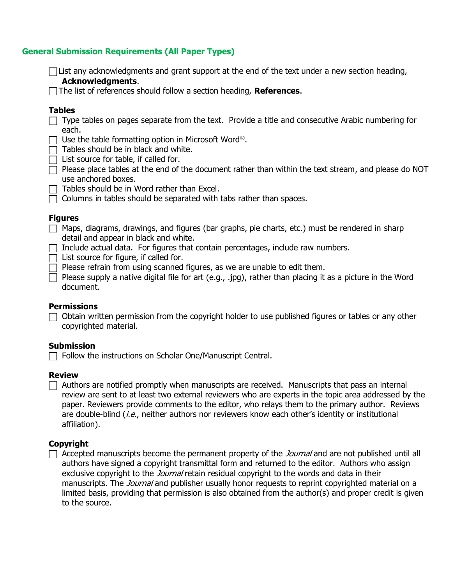# **General Submission Requirements (All Paper Types)**

| $\Box$ List any acknowledgments and grant support at the end of the text under a new section heading,<br><b>Acknowledgments.</b>        |
|-----------------------------------------------------------------------------------------------------------------------------------------|
| $\Box$ The list of references should follow a section heading, <b>References</b> .                                                      |
| <b>Tables</b>                                                                                                                           |
| $\Box$ Type tables on pages separate from the text. Provide a title and consecutive Arabic numbering for<br>each.                       |
| $\Box$ Use the table formatting option in Microsoft Word®.<br>Tables should be in black and white.                                      |
| List source for table, if called for.                                                                                                   |
| Please place tables at the end of the document rather than within the text stream, and please do NOT<br>use anchored boxes.             |
| Tables should be in Word rather than Excel.<br>$\mathbf{1}$                                                                             |
| Columns in tables should be separated with tabs rather than spaces.                                                                     |
| <b>Figures</b>                                                                                                                          |
| Maps, diagrams, drawings, and figures (bar graphs, pie charts, etc.) must be rendered in sharp<br>detail and appear in black and white. |
| $\Box$ Include actual data. For figures that contain percentages, include raw numbers.                                                  |
| $\Box$ List source for figure, if called for.                                                                                           |

 $\Box$  Please refrain from using scanned figures, as we are unable to edit them.

Please supply a native digital file for art (e.g., .jpg), rather than placing it as a picture in the Word document.

#### **Permissions**

 $\Box$  Obtain written permission from the copyright holder to use published figures or tables or any other copyrighted material.

#### **Submission**

 $\Box$  Follow the instructions on Scholar One/Manuscript Central.

#### **Review**

 $\Box$  Authors are notified promptly when manuscripts are received. Manuscripts that pass an internal review are sent to at least two external reviewers who are experts in the topic area addressed by the paper. Reviewers provide comments to the editor, who relays them to the primary author. Reviews are double-blind (i.e., neither authors nor reviewers know each other's identity or institutional affiliation).

# **Copyright**

 $\Box$  Accepted manuscripts become the permanent property of the *Journal* and are not published until all authors have signed a copyright transmittal form and returned to the editor. Authors who assign exclusive copyright to the *Journal* retain residual copyright to the words and data in their manuscripts. The *Journal* and publisher usually honor requests to reprint copyrighted material on a limited basis, providing that permission is also obtained from the author(s) and proper credit is given to the source.